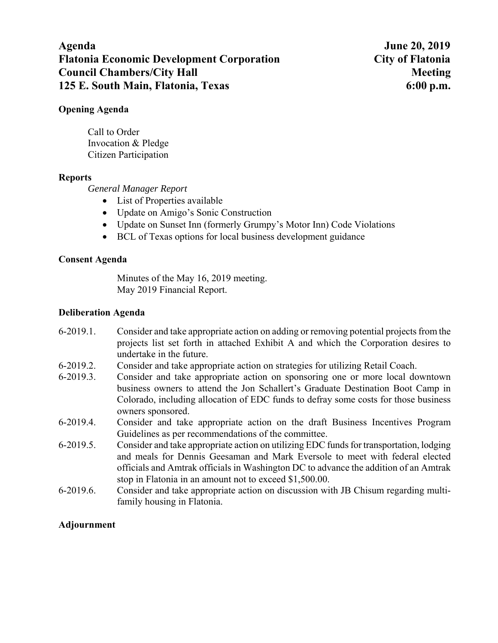# **Agenda June 20, 2019 Flatonia Economic Development Corporation City of Flatonia Council Chambers/City Hall Meeting Meeting Meeting Meeting Meeting Meeting Meeting Meeting Meeting Meeting Meeting Meeting Meeting Meeting Meeting Meeting Meeting Meeting Meeting Meeting Meeting Meeting Meeting Meeting Me 125 E. South Main, Flatonia, Texas 6:00 p.m.**

## **Opening Agenda**

Call to Order Invocation & Pledge Citizen Participation

## **Reports**

*General Manager Report* 

- List of Properties available
- Update on Amigo's Sonic Construction
- Update on Sunset Inn (formerly Grumpy's Motor Inn) Code Violations
- BCL of Texas options for local business development guidance

## **Consent Agenda**

Minutes of the May 16, 2019 meeting. May 2019 Financial Report.

## **Deliberation Agenda**

- 6-2019.1. Consider and take appropriate action on adding or removing potential projects from the projects list set forth in attached Exhibit A and which the Corporation desires to undertake in the future.
- 6-2019.2. Consider and take appropriate action on strategies for utilizing Retail Coach.
- 6-2019.3. Consider and take appropriate action on sponsoring one or more local downtown business owners to attend the Jon Schallert's Graduate Destination Boot Camp in Colorado, including allocation of EDC funds to defray some costs for those business owners sponsored.
- 6-2019.4. Consider and take appropriate action on the draft Business Incentives Program Guidelines as per recommendations of the committee.
- 6-2019.5. Consider and take appropriate action on utilizing EDC funds for transportation, lodging and meals for Dennis Geesaman and Mark Eversole to meet with federal elected officials and Amtrak officials in Washington DC to advance the addition of an Amtrak stop in Flatonia in an amount not to exceed \$1,500.00.
- 6-2019.6. Consider and take appropriate action on discussion with JB Chisum regarding multifamily housing in Flatonia.

## **Adjournment**